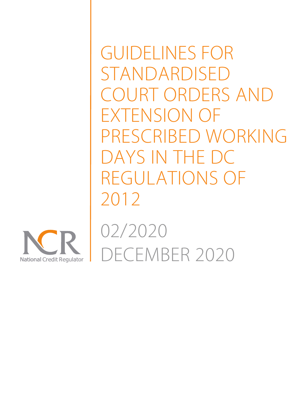GUIDELINES FOR STANDARDISED COURT ORDERS AND EXTENSION OF PRESCRIBED WORKING DAYS IN THE DC REGULATIONS OF 2012



02/2020 DECEMBER 2020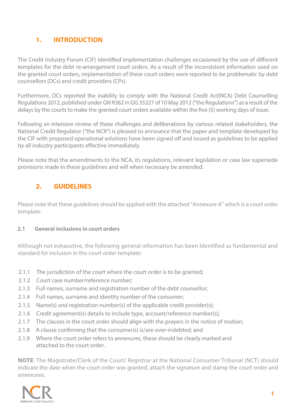# **1. INTRODUCTION**

The Credit Industry Forum (CIF) identified implementation challenges occasioned by the use of different templates for the debt re-arrangement court orders. As a result of the inconsistent information used on the granted court orders, implementation of these court orders were reported to be problematic by debt counsellors (DCs) and credit providers (CPs).

Furthermore, DCs reported the inability to comply with the National Credit Act(NCA) Debt Counselling Regulations 2012, published under GN R362 in GG 35327 of 10 May 2012 ("the Regulations") as a result of the delays by the courts to make the granted court orders available within the five (5) working days of issue.

Following an intensive review of these challenges and deliberations by various related stakeholders, the National Credit Regulator ("the NCR") is pleased to announce that the paper and template developed by the CIF with proposed operational solutions have been signed off and issued as quidelines to be applied by all industry participants effective immediately.

Please note that the amendments to the NCA, its regulations, relevant legislation or case law supersede provisions made in these guidelines and will when necessary be amended.

# **2. GUIDELINE GUIDELINES**

Please note that these guidelines should be applied with the attached "Annexure A" which is a court order template.

### **2.1 General inclusions in court orders**

Although not exhaustive, the following general information has been Identified as fundamental and standard for inclusion in the court order template:

- 2.1.1 The jurisdiction of the court where the court order is to be granted;
- 2.1.2 Court case number/reference number:
- 2.1.3 Full names, surname and registration number of the debt counsellor;
- 2.1.4 Full names, surname and identity number of the consumer;
- 2.1.5 Name(s) and registration number(s) of the applicable credit provider(s);
- 2.1.6 Credit agreement(s) details to include type, account/reference number(s);
- 2.1.7 The clauses in the court order should align with the prayers in the notice of motion;
- 2.1.8 A clause confirming that the consumer(s) is/are over-indebted; and
- 2.1.9 Where the court order refers to annexures, these should be clearly marked and attached to the court order.

**NOTE**: The Magistrate/Clerk of the Court/ Registrar at the National Consumer Tribunal (NCT) should indicate the date when the court order was granted, attach the signature and stamp the court order and annexures.

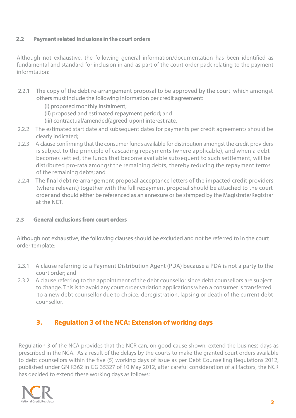### **2.2 Payment related inclusions in the court orders**

Although not exhaustive, the following general information/documentation has been identified as fundamental and standard for inclusion in and as part of the court order pack relating to the payment informtation:

- 2.2.1 The copy of the debt re-arrangement proposal to be approved by the court which amongst others must include the following information per credit agreement:
	- (i) proposed monthly instalment;
	- (ii) proposed and estimated repayment period; and
	- (iii) contractual/amended(agreed-upon) interest rate.
- 2.2.2 The estimated start date and subsequent dates for payments per credit agreements should be clearly indicated;
- 2.2.3 A clause confirming that the consumer funds available for distribution amongst the credit providers is subject to the principle of cascading repayments (where applicable), and when a debt becomes settled, the funds that become available subsequent to such settlement, will be distributed pro-rata amongst the remaining debts, thereby reducing the repayment terms of the remaining debts; and
- 2.2.4 The final debt re-arrangement proposal acceptance letters of the impacted credit providers (where relevant) together with the full repayment proposal should be attached to the court order and should either be referenced as an annexure or be stamped by the Magistrate/Registrar at the NCT.

### **2.3 General exclusions from court orders**

Although not exhaustive, the following clauses should be excluded and not be referred to in the court order template:

- 2.3.1 A clause referring to a Payment Distribution Agent (PDA) because a PDA is not a party to the court order; and
- 2.3.2 A clause referring to the appointment of the debt counsellor since debt counsellors are subject to change. This is to avoid any court order variation applications when a consumer is transferred to a new debt counsellor due to choice, deregistration, lapsing or death of the current debt counsellor.

# **3. Regulation 3 of the NCA: Extension of working days**

Regulation 3 of the NCA provides that the NCR can, on good cause shown, extend the business days as prescribed in the NCA. As a result of the delays by the courts to make the granted court orders available to debt counsellors within the five (5) working days of issue as per Debt Counselling Regulations 2012, published under GN R362 in GG 35327 of 10 May 2012, after careful consideration of all factors, the NCR has decided to extend these working days as follows: